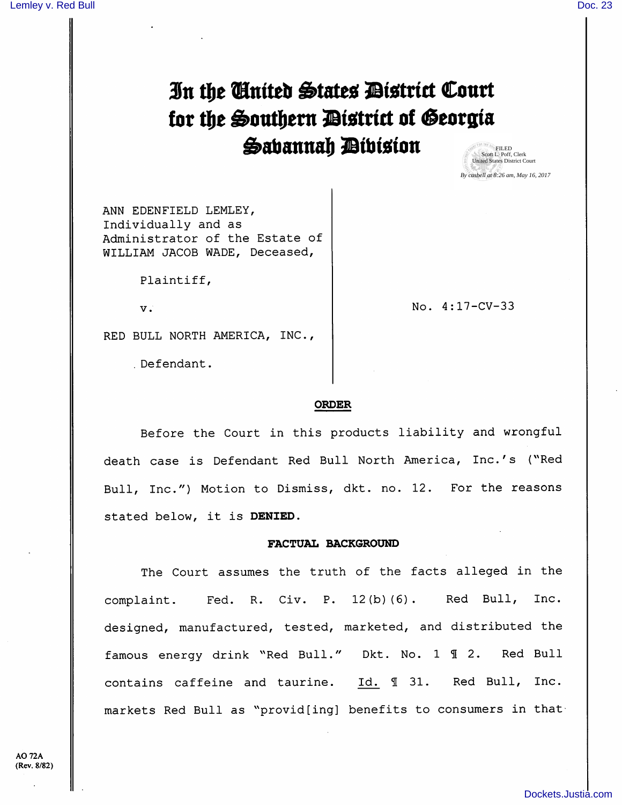# In the Cinited States District Court for the Southern District of Georgia Sabannah Dibision

FILED Scott L. Poff, Clerk United States District Court *By casbell at 8:26 am, May 16, 2017*

ANN EDENFIELD LEMLEY, Individually and as Administrator of the Estate of WILLIAM JACOB WADE, Deceased,

Plaintiff,

V.

No. 4:17-CV-33

RED BULL NORTH AMERICA, INC.,

Defendant.

## ORDER

Before the Court in this products liability and wrongful death case is Defendant Red Bull North America, Inc.'s {''Red Bull, Inc.") Motion to Dismiss, dkt. no. 12. For the reasons stated below, it is DENIED.

## FACTUAL BACKGROUND

The Court assumes the truth of the facts alleged in the complaint. Fed. R. Civ. P. 12(b)(6). Red Bull, Inc. designed, manufactured, tested, marketed, and distributed the famous energy drink "Red Bull." Dkt. No. 1 1 2. Red Bull contains caffeine and taurine. Id. 1 31. Red Bull, Inc. markets Red Bull as "provid[ing] benefits to consumers in that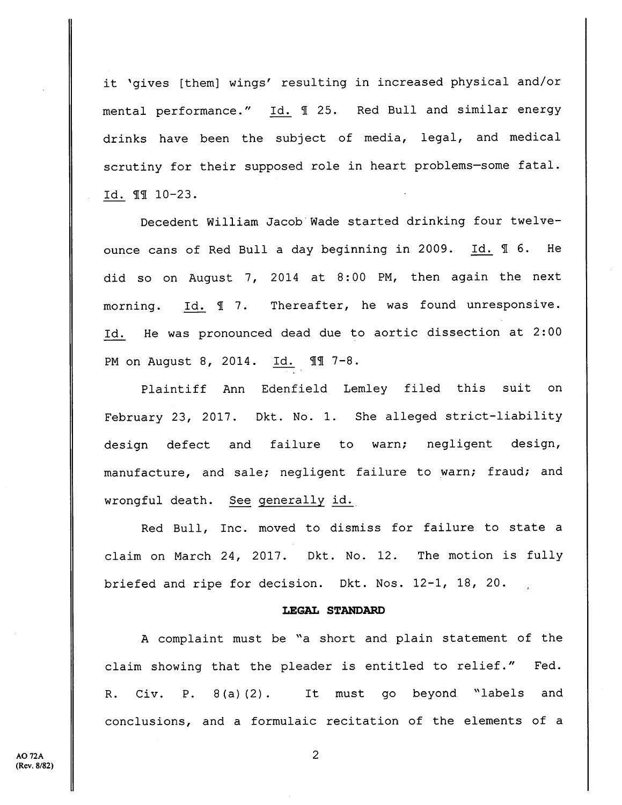it 'gives [them] wings' resulting in increased physical and/or mental performance." Id. 1 25. Red Bull and similar energy drinks have been the subject of media, legal, and medical scrutiny for their supposed role in heart problems—some fatal. Id. 11 10-23.

Decedent William Jacob Wade started drinking four twelveounce cans of Red Bull a day beginning in 2009. Id. 16. He did so on August 7, 2014 at 8:00 PM, then again the next morning. Id.  $\text{\ensuremath{\mathbb{I}}}$  7. Thereafter, he was found unresponsive. Id. He was pronounced dead due to aortic dissection at 2:00 PM on August 8, 2014. Id. II 7-8.

Plaintiff Ann Edenfield Lemley filed this suit on February 23, 2017. Dkt. No. 1. She alleged strict-liability design defect and failure to warn; negligent design, manufacture, and sale; negligent failure to warn; fraud; and wrongful death. See generally id.

Red Bull, Inc. moved to dismiss for failure to state a claim on March 24, 2017. Dkt. No. 12. The motion is fully briefed and ripe for decision. Dkt. Nos. 12-1, 18, 20.

## LEGAL STANDARD

A complaint must be "a short and plain statement of the claim showing that the pleader is entitled to relief." Fed. R. Civ. P. 8(a) (2). It must go beyond "labels and conclusions, and a formulaic recitation of the elements of a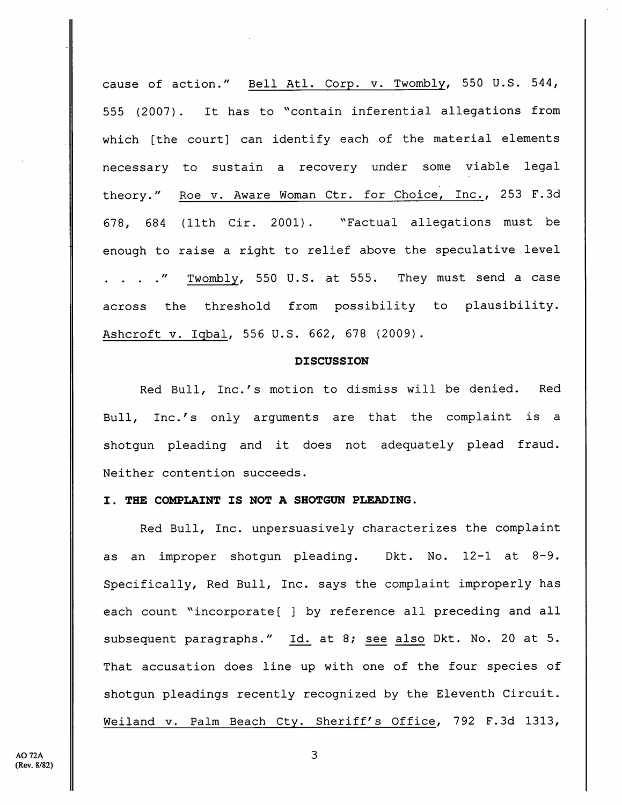cause of action." Bell Atl. Corp. v. Twombly, 550 U.S. 544, 555 (2007) . It has to ''contain inferential allegations from which [the court] can identify each of the material elements necessary to sustain a recovery under some viable legal theory." Roe v. Aware Woman Ctr. for Choice, Inc., 253 F.Sd 678, 684 (11th Cir. 2001) . "Factual allegations must be enough to raise a right to relief above the speculative level . . . ." Twombly, 550 U.S. at 555. They must send a case across the threshold from possibility to plausibility. Ashcroft V. Iqbal, 556 U.S. 662, 678 (2009).

#### DISCUSSION

Red Bull, Inc.'s motion to dismiss will be denied. Red Bull, Inc.'s only arguments are that the complaint is a shotgun pleading and it does not adequately plead fraud. Neither contention succeeds.

#### I. THE COMPLAINT IS NOT A SHOTGUN PLEADING.

Red Bull, Inc. unpersuasively characterizes the complaint as an improper shotgun pleading. Dkt. No. 12-1 at 8-9. Specifically, Red Bull, Inc. says the complaint improperly has each count "incorporate[ ] by reference all preceding and all subsequent paragraphs." Id. at 8; see also Dkt. No. 20 at 5. That accusation does line up with one of the four species of shotgun pleadings recently recognized by the Eleventh Circuit. Weiland v. Palm Beach Cty. Sheriff's Office, 792 F.3d 1313,

3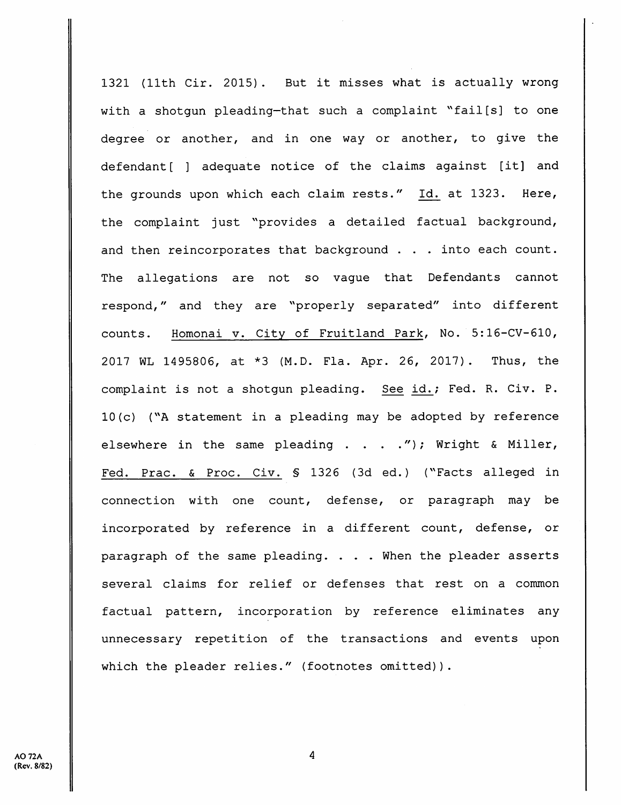1321 (llth Cir. 2015) . But it misses what is actually wrong with a shotgun pleading-that such a complaint "fail[s] to one degree or another, and in one way or another, to give the defendant[ ] adequate notice of the claims against [it] and the grounds upon which each claim rests." Id. at 1323. Here, the complaint just "provides a detailed factual background, and then reincorporates that background . . . into each count. The allegations are not so vague that Defendants cannot respond," and they are ^'properly separated" into different counts. Homonai v. City of Fruitland Park, No. 5:16-CV-610, 2017 WL 1495806, at \*3 (M.D. Fla. Apr. 26, 2017). Thus, the complaint is not a shotgun pleading. See id.; Fed. R. Civ. P.  $10(c)$  ("A statement in a pleading may be adopted by reference elsewhere in the same pleading  $\ldots$  . . . "); Wright & Miller, Fed. Prac. & Proc. Civ. \$ 1326 (3d ed.) ("Facts alleged in connection with one count, defense, or paragraph may be incorporated by reference in a different count, defense, or paragraph of the same pleading. . . . When the pleader asserts several claims for relief or defenses that rest on a common factual pattern, incorporation by reference eliminates any unnecessary repetition of the transactions and events upon which the pleader relies." (footnotes omitted)).

4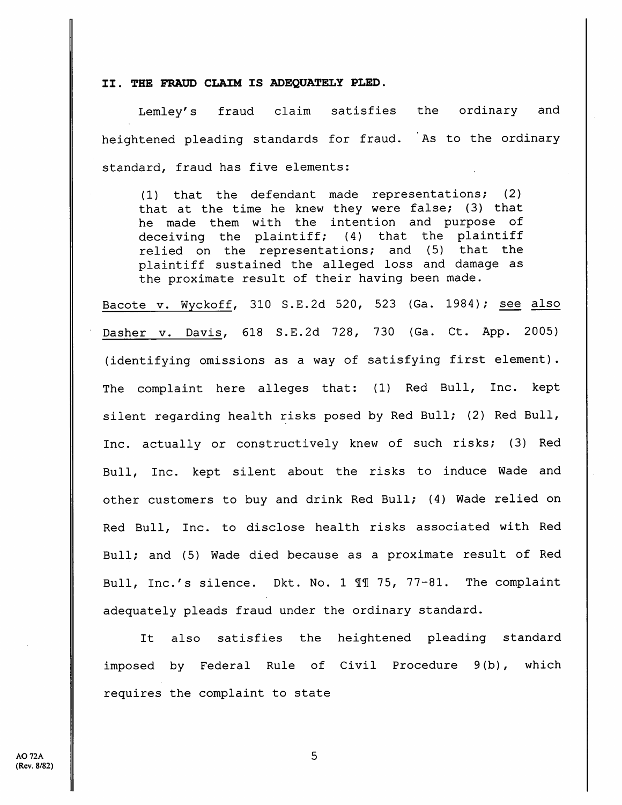### II. THE FRAUD CLAIM IS ADEQUATELY PLED.

Lemley's fraud claim satisfies the ordinary and heightened pleading standards for fraud. As to the ordinary standard, fraud has five elements:

(1) that the defendant made representations; (2) that at the time he knew they were false; (3) that he made them with the intention and purpose of deceiving the plaintiff; (4) that the plaintiff relied on the representations; and (5) that the plaintiff sustained the alleged loss and damage as the proximate result of their having been made.

Bacote v. Wyckoff, 310 S.E.2d 520, 523 (Ga. 1984); see also Dasher v. Davis, 618 S.E.2d 728, 730 {Ga. Ct. App. 2005) (identifying omissions as a way of satisfying first element). The complaint here alleges that: (1) Red Bull, Inc. kept silent regarding health risks posed by Red Bull; (2) Red Bull, Inc. actually or constructively knew of such risks; (3) Red Bull, Inc. kept silent about the risks to induce Wade and other customers to buy and drink Red Bull; (4) Wade relied on Red Bull, Inc. to disclose health risks associated with Red Bull; and (5) Wade died because as a proximate result of Red Bull, Inc.'s silence. Dkt. No. 1 11 75, 77-81. The complaint adequately pleads fraud under the ordinary standard.

It also satisfies the heightened pleading standard imposed by Federal Rule of Civil Procedure 9(b), which requires the complaint to state

5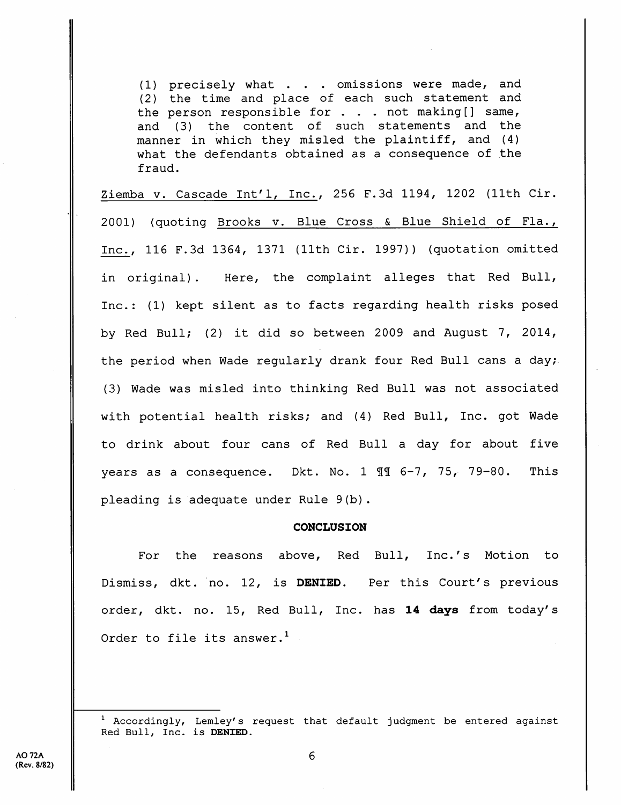(1) precisely what . . . omissions were made, and (2) the time and place of each such statement and the person responsible for  $\ldots$  . not making [] same, and (3) the content of such statements and the manner in which they misled the plaintiff, and (4) what the defendants obtained as a consequence of the fraud.

Ziemba v. Cascade Int^l, Inc., 256 F.3d 1194, 1202 (11th Cir. 2001) (quoting Brooks v. Blue Cross & Blue Shield of Fla., Inc., 116 F.3d 1364, 1371 (11th Cir. 1997)) (quotation omitted in original). Here, the complaint alleges that Red Bull, Inc.: (1) kept silent as to facts regarding health risks posed by Red Bull; (2) it did so between 2009 and August 7, 2014, the period when Wade regularly drank four Red Bull cans a day; (3) Wade was misled into thinking Red Bull was not associated with potential health risks; and (4) Red Bull, Inc. got Wade to drink about four cans of Red Bull a day for about five years as a consequence. Dkt. No. 1 99 6-7, 75, 79-80. This pleading is adequate under Rule 9(b).

#### **CONCLUSION**

For the reasons above, Red Bull, Inc.'s Motion to Dismiss, dkt. no. 12, is DENIED. Per this Court's previous order, dkt. no. 15, Red Bull, Inc. has 14 days from today's Order to file its answer. $<sup>1</sup>$ </sup>

 $1$  Accordingly, Lemley's request that default judgment be entered against Red Bull, Inc. is DENIED.